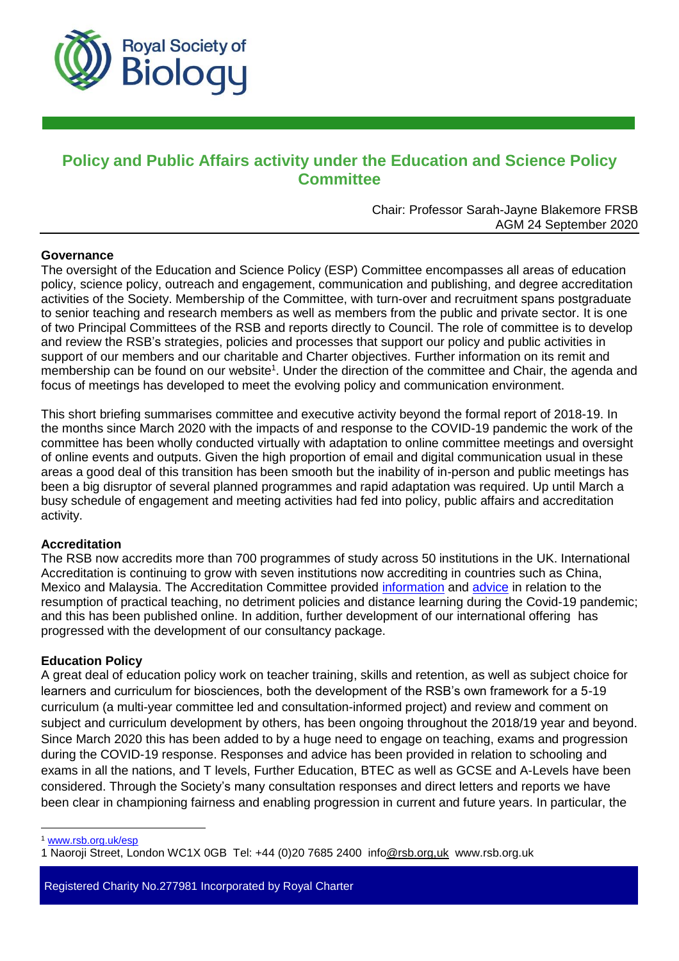

# **Policy and Public Affairs activity under the Education and Science Policy Committee**

Chair: Professor Sarah-Jayne Blakemore FRSB AGM 24 September 2020

## **Governance**

The oversight of the Education and Science Policy (ESP) Committee encompasses all areas of education policy, science policy, outreach and engagement, communication and publishing, and degree accreditation activities of the Society. Membership of the Committee, with turn-over and recruitment spans postgraduate to senior teaching and research members as well as members from the public and private sector. It is one of two Principal Committees of the RSB and reports directly to Council. The role of committee is to develop and review the RSB's strategies, policies and processes that support our policy and public activities in support of our members and our charitable and Charter objectives. Further information on its remit and membership can be found on our website<sup>1</sup>. Under the direction of the committee and Chair, the agenda and focus of meetings has developed to meet the evolving policy and communication environment.

This short briefing summarises committee and executive activity beyond the formal report of 2018-19. In the months since March 2020 with the impacts of and response to the COVID-19 pandemic the work of the committee has been wholly conducted virtually with adaptation to online committee meetings and oversight of online events and outputs. Given the high proportion of email and digital communication usual in these areas a good deal of this transition has been smooth but the inability of in-person and public meetings has been a big disruptor of several planned programmes and rapid adaptation was required. Up until March a busy schedule of engagement and meeting activities had fed into policy, public affairs and accreditation activity.

### **Accreditation**

The RSB now accredits more than 700 programmes of study across 50 institutions in the UK. International Accreditation is continuing to grow with seven institutions now accrediting in countries such as China, Mexico and Malaysia. The Accreditation Committee provided [information](https://www.rsb.org.uk/about-us/covid-19/education-during-covid-19/higher-education-) and [advice](https://www.rsb.org.uk/about-us/covid-19/education-during-covid-19/he-stem-teaching-and-learning-) in relation to the resumption of practical teaching, no detriment policies and distance learning during the Covid-19 pandemic; and this has been published online. In addition, further development of our international offering has progressed with the development of our consultancy package.

# **Education Policy**

A great deal of education policy work on teacher training, skills and retention, as well as subject choice for learners and curriculum for biosciences, both the development of the RSB's own framework for a 5-19 curriculum (a multi-year committee led and consultation-informed project) and review and comment on subject and curriculum development by others, has been ongoing throughout the 2018/19 year and beyond. Since March 2020 this has been added to by a huge need to engage on teaching, exams and progression during the COVID-19 response. Responses and advice has been provided in relation to schooling and exams in all the nations, and T levels, Further Education, BTEC as well as GCSE and A-Levels have been considered. Through the Society's many consultation responses and direct letters and reports we have been clear in championing fairness and enabling progression in current and future years. In particular, the

Registered Charity No.277981 Incorporated by Royal Charter

 $\overline{a}$ <sup>1</sup> [www.rsb.org.uk/esp](http://www.rsb.org.uk/esp)

<sup>1</sup> Naoroji Street, London WC1X 0GB Tel: +44 (0)20 7685 2400 info@rsb.org,uk www.rsb.org.uk